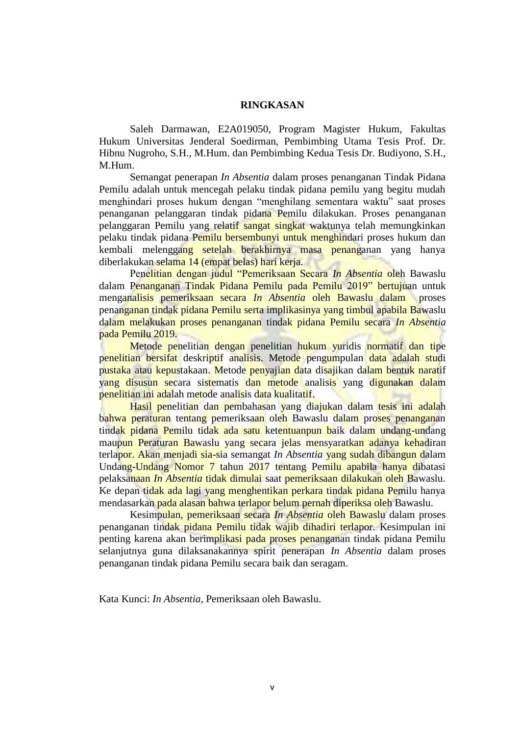## **RINGKASAN**

Saleh Darmawan, E2A019050, Program Magister Hukum, Fakultas Hukum Universitas Jenderal Soedirman, Pembimbing Utama Tesis Prof. Dr. Hibnu Nugroho, S.H., M.Hum. dan Pembimbing Kedua Tesis Dr. Budiyono, S.H., M.Hum.

Semangat penerapan *In Absentia* dalam proses penanganan Tindak Pidana Pemilu adalah untuk mencegah pelaku tindak pidana pemilu yang begitu mudah menghindari proses hukum dengan "menghilang sementara waktu" saat proses penanganan pelanggaran tindak pidana Pemilu dilakukan. Proses penanganan pelanggaran Pemilu yang relatif sangat singkat waktunya telah memungkinkan pelaku tindak pidana Pemilu bersembunyi untuk menghindari proses hukum dan kembali melenggang setelah berakhirnya masa penanganan yang hanya diberlakukan selama 14 (empat belas) hari kerja.

Penelitian dengan judul "Pemeriksaan Secara *In Absentia* oleh Bawaslu dalam Penanganan Tindak Pidana Pemilu pada Pemilu 2019" bertujuan untuk menganalisis pemeriksaan secara *In Absentia* oleh Bawaslu dalam proses penanganan tindak pidana Pemilu serta implikasinya yang timbul apabila Bawaslu dalam melakukan proses penanganan tindak pidana Pemilu secara *In Absentia* pada Pemilu 2019.

Metode penelitian dengan penelitian hukum yuridis normatif dan tipe penelitian bersifat deskriptif analisis. Metode pengumpulan data adalah studi pustaka atau kepustakaan. Metode penyajian data disajikan dalam bentuk naratif yang disusun secara sistematis dan metode analisis yang digunakan dalam penelitian ini adalah metode analisis data kualitatif.

Hasil penelitian dan pembahasan yang diajukan dalam tesis ini adalah bahwa peraturan tentang pemeriksaan oleh Bawaslu dalam proses penanganan tindak pidana Pemilu tidak ada satu ketentuanpun baik dalam undang-undang maupun Peraturan Bawaslu yang secara jelas mensyaratkan adanya kehadiran terlapor. Akan menjadi sia-sia semangat *In Absentia* yang sudah dibangun dalam Undang-Undang Nomor 7 tahun 2017 tentang Pemilu apabila hanya dibatasi pelaksanaan *In Absentia* tidak dimulai saat pemeriksaan dilakukan oleh Bawaslu. Ke depan tidak ada lagi yang menghentikan perkara tindak pidana Pemilu hanya mendasarkan pada alasan bahwa terlapor belum pernah diperiksa oleh Bawaslu.

Kesimpulan, pemeriksaan secara *In Absentia* oleh Bawaslu dalam proses penanganan tindak pidana Pemilu tidak wajib dihadiri terlapor. Kesimpulan ini penting karena akan berimplikasi pada proses penanganan tindak pidana Pemilu selanjutnya guna dilaksanakannya spirit penerapan *In Absentia* dalam proses penanganan tindak pidana Pemilu secara baik dan seragam.

Kata Kunci: *In Absentia*, Pemeriksaan oleh Bawaslu.